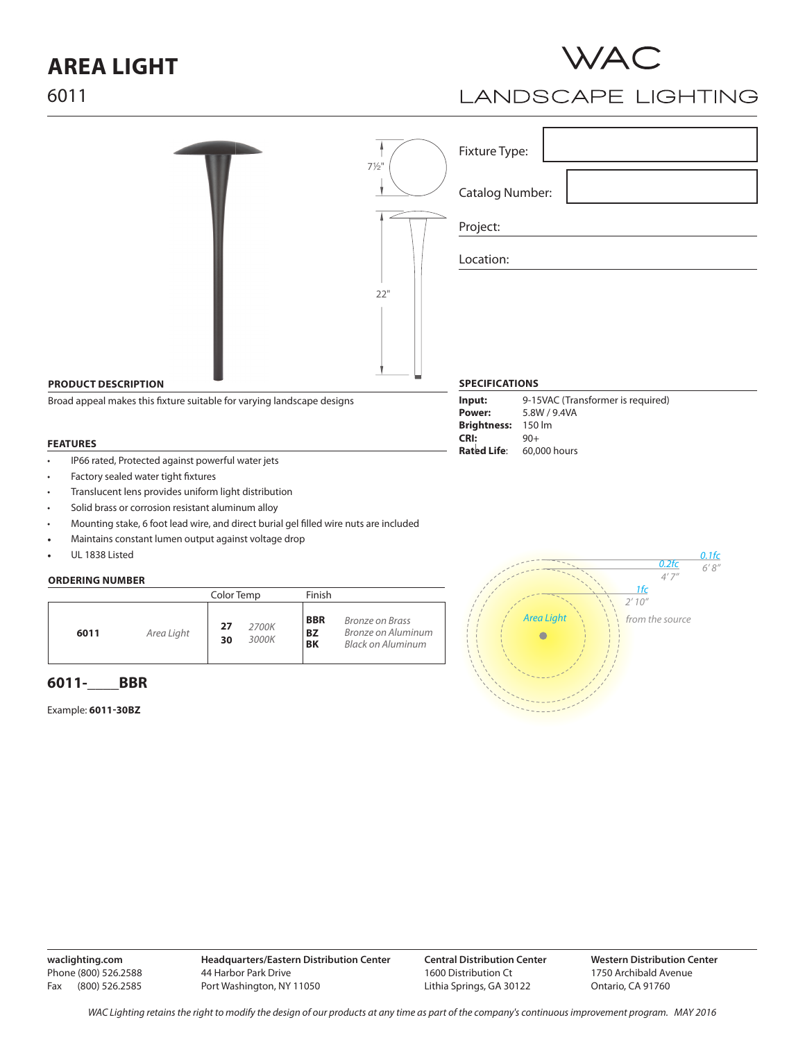# **AREA LIGHT**



### **LANDSCAPE LIGHTING**

|                                                                        | $7\frac{1}{2}$ " | Fixture Type:              |                                                   |
|------------------------------------------------------------------------|------------------|----------------------------|---------------------------------------------------|
|                                                                        |                  | Catalog Number:            |                                                   |
|                                                                        |                  | Project:                   |                                                   |
|                                                                        |                  | Location:                  |                                                   |
|                                                                        | $22"$            |                            |                                                   |
|                                                                        |                  |                            |                                                   |
|                                                                        |                  |                            |                                                   |
| <b>PRODUCT DESCRIPTION</b>                                             |                  | <b>SPECIFICATIONS</b>      |                                                   |
| Broad appeal makes this fixture suitable for varying landscape designs |                  |                            | 9-15VAC (Transformer is required)<br>5.8W / 9.4VA |
|                                                                        |                  | <b>Brightness:</b><br>CRI: | 150 lm<br>$90+$                                   |
| <b>FEATURES</b>                                                        |                  |                            | $D = 4$                                           |

- IP66 rated, Protected against powerful water jets
- Factory sealed water tight fixtures
- Translucent lens provides uniform light distribution
- Solid brass or corrosion resistant aluminum alloy
- Mounting stake, 6 foot lead wire, and direct burial gel filled wire nuts are included
- Maintains constant lumen output against voltage drop
- UL 1838 Listed

#### **ORDERING NUMBER**

|                    | Color Temp                 | Finish                                                                                                    |
|--------------------|----------------------------|-----------------------------------------------------------------------------------------------------------|
| Area Light<br>6011 | 27<br>2700K<br>3000K<br>30 | <b>BBR</b><br><b>Bronze on Brass</b><br>Bronze on Aluminum<br><b>BZ</b><br><b>BK</b><br>Black on Aluminum |

### **6011-\_\_\_\_BBR**

Example: **6011-30BZ**



**Rated Life**: 60,000 hours

**waclighting.com** Phone (800) 526.2588 Fax (800) 526.2585

**Headquarters/Eastern Distribution Center** 44 Harbor Park Drive Port Washington, NY 11050

**Central Distribution Center** 1600 Distribution Ct Lithia Springs, GA 30122

**Western Distribution Center**  1750 Archibald Avenue Ontario, CA 91760

6011